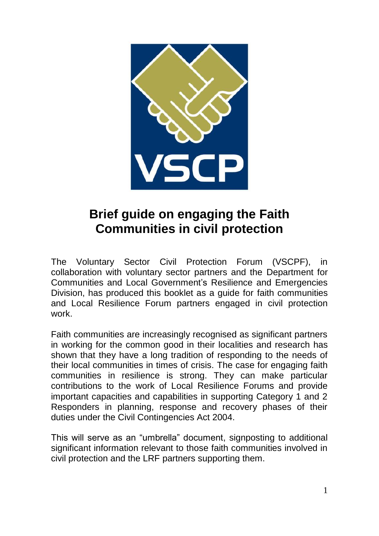

# **Brief guide on engaging the Faith Communities in civil protection**

The Voluntary Sector Civil Protection Forum (VSCPF), in collaboration with voluntary sector partners and the Department for Communities and Local Government's Resilience and Emergencies Division, has produced this booklet as a guide for faith communities and Local Resilience Forum partners engaged in civil protection work.

Faith communities are increasingly recognised as significant partners in working for the common good in their localities and research has shown that they have a long tradition of responding to the needs of their local communities in times of crisis. The case for engaging faith communities in resilience is strong. They can make particular contributions to the work of Local Resilience Forums and provide important capacities and capabilities in supporting Category 1 and 2 Responders in planning, response and recovery phases of their duties under the Civil Contingencies Act 2004.

This will serve as an "umbrella" document, signposting to additional significant information relevant to those faith communities involved in civil protection and the LRF partners supporting them.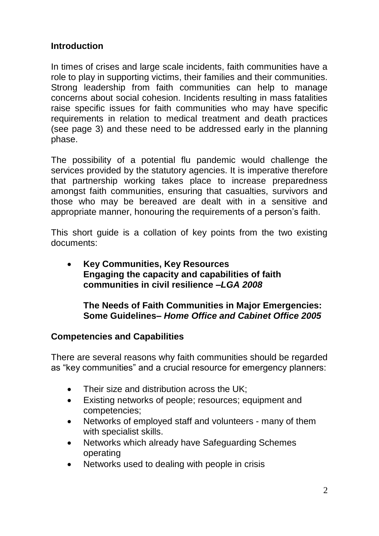## **Introduction**

In times of crises and large scale incidents, faith communities have a role to play in supporting victims, their families and their communities. Strong leadership from faith communities can help to manage concerns about social cohesion. Incidents resulting in mass fatalities raise specific issues for faith communities who may have specific requirements in relation to medical treatment and death practices (see page 3) and these need to be addressed early in the planning phase.

The possibility of a potential flu pandemic would challenge the services provided by the statutory agencies. It is imperative therefore that partnership working takes place to increase preparedness amongst faith communities, ensuring that casualties, survivors and those who may be bereaved are dealt with in a sensitive and appropriate manner, honouring the requirements of a person's faith.

This short guide is a collation of key points from the two existing documents:

 **Key Communities, Key Resources Engaging the capacity and capabilities of faith communities in civil resilience –***LGA 2008*

#### **The Needs of Faith Communities in Major Emergencies: Some Guidelines–** *Home Office and Cabinet Office 2005*

#### **Competencies and Capabilities**

There are several reasons why faith communities should be regarded as "key communities" and a crucial resource for emergency planners:

- Their size and distribution across the UK:
- Existing networks of people; resources; equipment and competencies;
- Networks of employed staff and volunteers many of them with specialist skills.
- Networks which already have Safeguarding Schemes operating
- Networks used to dealing with people in crisis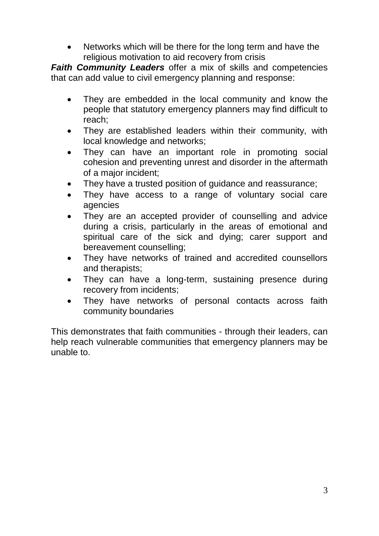• Networks which will be there for the long term and have the religious motivation to aid recovery from crisis

*Faith Community Leaders* offer a mix of skills and competencies that can add value to civil emergency planning and response:

- They are embedded in the local community and know the people that statutory emergency planners may find difficult to reach;
- They are established leaders within their community, with local knowledge and networks;
- They can have an important role in promoting social cohesion and preventing unrest and disorder in the aftermath of a major incident;
- They have a trusted position of guidance and reassurance;
- They have access to a range of voluntary social care agencies
- They are an accepted provider of counselling and advice during a crisis, particularly in the areas of emotional and spiritual care of the sick and dying; carer support and bereavement counselling;
- They have networks of trained and accredited counsellors and therapists;
- They can have a long-term, sustaining presence during recovery from incidents;
- They have networks of personal contacts across faith community boundaries

This demonstrates that faith communities - through their leaders, can help reach vulnerable communities that emergency planners may be unable to.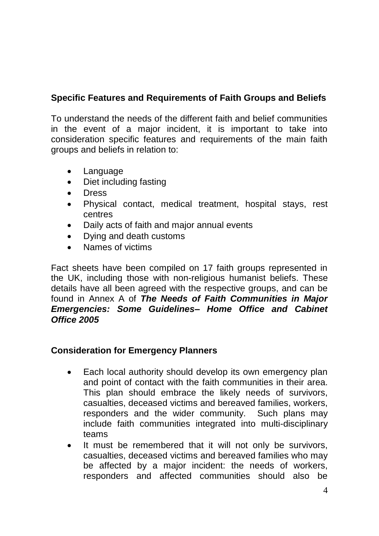# **Specific Features and Requirements of Faith Groups and Beliefs**

To understand the needs of the different faith and belief communities in the event of a major incident, it is important to take into consideration specific features and requirements of the main faith groups and beliefs in relation to:

- Language
- Diet including fasting
- Dress
- Physical contact, medical treatment, hospital stays, rest centres
- Daily acts of faith and major annual events
- Dying and death customs
- Names of victims

Fact sheets have been compiled on 17 faith groups represented in the UK, including those with non-religious humanist beliefs. These details have all been agreed with the respective groups, and can be found in Annex A of *The Needs of Faith Communities in Major Emergencies: Some Guidelines– Home Office and Cabinet Office 2005*

## **Consideration for Emergency Planners**

- Each local authority should develop its own emergency plan and point of contact with the faith communities in their area. This plan should embrace the likely needs of survivors, casualties, deceased victims and bereaved families, workers, responders and the wider community. Such plans may include faith communities integrated into multi-disciplinary teams
- It must be remembered that it will not only be survivors, casualties, deceased victims and bereaved families who may be affected by a major incident: the needs of workers, responders and affected communities should also be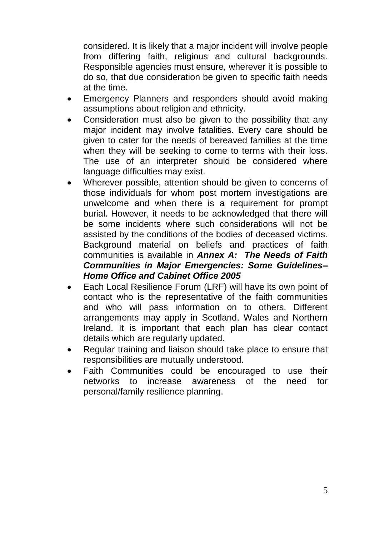considered. It is likely that a major incident will involve people from differing faith, religious and cultural backgrounds. Responsible agencies must ensure, wherever it is possible to do so, that due consideration be given to specific faith needs at the time.

- Emergency Planners and responders should avoid making assumptions about religion and ethnicity.
- Consideration must also be given to the possibility that any major incident may involve fatalities. Every care should be given to cater for the needs of bereaved families at the time when they will be seeking to come to terms with their loss. The use of an interpreter should be considered where language difficulties may exist.
- Wherever possible, attention should be given to concerns of those individuals for whom post mortem investigations are unwelcome and when there is a requirement for prompt burial. However, it needs to be acknowledged that there will be some incidents where such considerations will not be assisted by the conditions of the bodies of deceased victims. Background material on beliefs and practices of faith communities is available in *Annex A: The Needs of Faith Communities in Major Emergencies: Some Guidelines– Home Office and Cabinet Office 2005*
- Each Local Resilience Forum (LRF) will have its own point of contact who is the representative of the faith communities and who will pass information on to others. Different arrangements may apply in Scotland, Wales and Northern Ireland. It is important that each plan has clear contact details which are regularly updated.
- Regular training and liaison should take place to ensure that responsibilities are mutually understood.
- Faith Communities could be encouraged to use their networks to increase awareness of the need for personal/family resilience planning.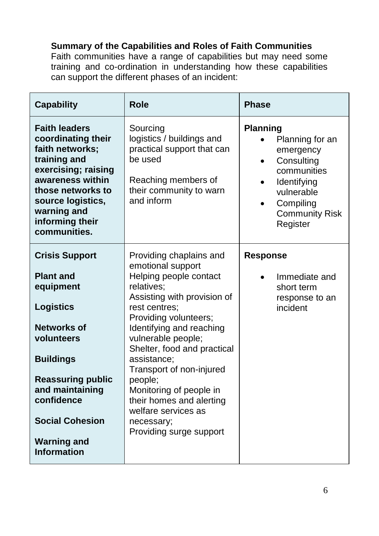# **Summary of the Capabilities and Roles of Faith Communities**

Faith communities have a range of capabilities but may need some training and co-ordination in understanding how these capabilities can support the different phases of an incident:

| <b>Capability</b>                                                                                                                                                                                                                                                     | Role                                                                                                                                                                                                                                                                                                                                                                                                                        | <b>Phase</b>                                                                                                                                                |
|-----------------------------------------------------------------------------------------------------------------------------------------------------------------------------------------------------------------------------------------------------------------------|-----------------------------------------------------------------------------------------------------------------------------------------------------------------------------------------------------------------------------------------------------------------------------------------------------------------------------------------------------------------------------------------------------------------------------|-------------------------------------------------------------------------------------------------------------------------------------------------------------|
| <b>Faith leaders</b><br>coordinating their<br>faith networks:<br>training and<br>exercising; raising<br>awareness within<br>those networks to<br>source logistics,<br>warning and<br>informing their<br>communities.                                                  | Sourcing<br>logistics / buildings and<br>practical support that can<br>be used<br>Reaching members of<br>their community to warn<br>and inform                                                                                                                                                                                                                                                                              | <b>Planning</b><br>Planning for an<br>emergency<br>Consulting<br>communities<br>Identifying<br>vulnerable<br>Compiling<br><b>Community Risk</b><br>Register |
| <b>Crisis Support</b><br><b>Plant and</b><br>equipment<br><b>Logistics</b><br><b>Networks of</b><br>volunteers<br><b>Buildings</b><br><b>Reassuring public</b><br>and maintaining<br>confidence<br><b>Social Cohesion</b><br><b>Warning and</b><br><b>Information</b> | Providing chaplains and<br>emotional support<br>Helping people contact<br>relatives;<br>Assisting with provision of<br>rest centres:<br>Providing volunteers;<br>Identifying and reaching<br>vulnerable people;<br>Shelter, food and practical<br>assistance:<br>Transport of non-injured<br>people;<br>Monitoring of people in<br>their homes and alerting<br>welfare services as<br>necessary;<br>Providing surge support | <b>Response</b><br>Immediate and<br>short term<br>response to an<br>incident                                                                                |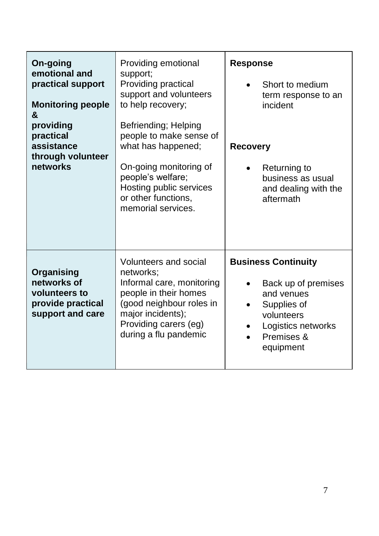| On-going<br>emotional and<br>practical support<br><b>Monitoring people</b><br>&<br>providing<br>practical<br>assistance<br>through volunteer<br>networks | Providing emotional<br>support;<br>Providing practical<br>support and volunteers<br>to help recovery;<br>Befriending; Helping<br>people to make sense of<br>what has happened;<br>On-going monitoring of<br>people's welfare;<br>Hosting public services<br>or other functions,<br>memorial services. | <b>Response</b><br>Short to medium<br>term response to an<br>incident<br><b>Recovery</b><br>Returning to<br>business as usual<br>and dealing with the<br>aftermath |
|----------------------------------------------------------------------------------------------------------------------------------------------------------|-------------------------------------------------------------------------------------------------------------------------------------------------------------------------------------------------------------------------------------------------------------------------------------------------------|--------------------------------------------------------------------------------------------------------------------------------------------------------------------|
| Organising<br>networks of<br>volunteers to<br>provide practical<br>support and care                                                                      | Volunteers and social<br>networks:<br>Informal care, monitoring<br>people in their homes<br>(good neighbour roles in<br>major incidents);<br>Providing carers (eg)<br>during a flu pandemic                                                                                                           | <b>Business Continuity</b><br>Back up of premises<br>and venues<br>Supplies of<br>volunteers<br>Logistics networks<br>Premises &<br>equipment                      |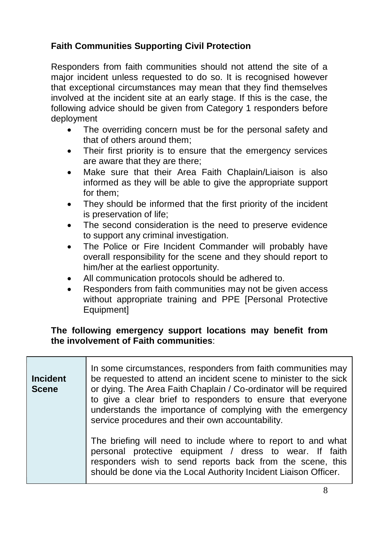# **Faith Communities Supporting Civil Protection**

Responders from faith communities should not attend the site of a major incident unless requested to do so. It is recognised however that exceptional circumstances may mean that they find themselves involved at the incident site at an early stage. If this is the case, the following advice should be given from Category 1 responders before deployment

- The overriding concern must be for the personal safety and that of others around them;
- Their first priority is to ensure that the emergency services are aware that they are there;
- Make sure that their Area Faith Chaplain/Liaison is also informed as they will be able to give the appropriate support for them;
- They should be informed that the first priority of the incident is preservation of life;
- The second consideration is the need to preserve evidence to support any criminal investigation.
- The Police or Fire Incident Commander will probably have overall responsibility for the scene and they should report to him/her at the earliest opportunity.
- All communication protocols should be adhered to.
- Responders from faith communities may not be given access without appropriate training and PPE [Personal Protective Equipment]

### **The following emergency support locations may benefit from the involvement of Faith communities**:

| <b>Incident</b><br><b>Scene</b> | In some circumstances, responders from faith communities may<br>be requested to attend an incident scene to minister to the sick<br>or dying. The Area Faith Chaplain / Co-ordinator will be required<br>to give a clear brief to responders to ensure that everyone<br>understands the importance of complying with the emergency<br>service procedures and their own accountability. |
|---------------------------------|----------------------------------------------------------------------------------------------------------------------------------------------------------------------------------------------------------------------------------------------------------------------------------------------------------------------------------------------------------------------------------------|
|                                 | The briefing will need to include where to report to and what<br>personal protective equipment / dress to wear. If faith<br>responders wish to send reports back from the scene, this<br>should be done via the Local Authority Incident Liaison Officer.                                                                                                                              |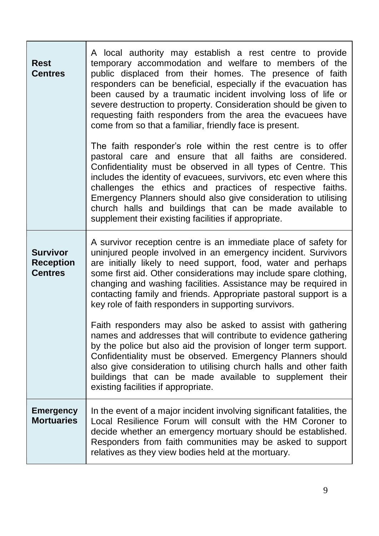| Rest<br><b>Centres</b>                                | A local authority may establish a rest centre to provide<br>temporary accommodation and welfare to members of the<br>public displaced from their homes. The presence of faith<br>responders can be beneficial, especially if the evacuation has<br>been caused by a traumatic incident involving loss of life or<br>severe destruction to property. Consideration should be given to<br>requesting faith responders from the area the evacuees have<br>come from so that a familiar, friendly face is present.<br>The faith responder's role within the rest centre is to offer<br>pastoral care and ensure that all faiths are considered.<br>Confidentiality must be observed in all types of Centre. This<br>includes the identity of evacuees, survivors, etc even where this<br>challenges the ethics and practices of respective faiths.<br>Emergency Planners should also give consideration to utilising<br>church halls and buildings that can be made available to<br>supplement their existing facilities if appropriate. |
|-------------------------------------------------------|--------------------------------------------------------------------------------------------------------------------------------------------------------------------------------------------------------------------------------------------------------------------------------------------------------------------------------------------------------------------------------------------------------------------------------------------------------------------------------------------------------------------------------------------------------------------------------------------------------------------------------------------------------------------------------------------------------------------------------------------------------------------------------------------------------------------------------------------------------------------------------------------------------------------------------------------------------------------------------------------------------------------------------------|
| <b>Survivor</b><br><b>Reception</b><br><b>Centres</b> | A survivor reception centre is an immediate place of safety for<br>uninjured people involved in an emergency incident. Survivors<br>are initially likely to need support, food, water and perhaps<br>some first aid. Other considerations may include spare clothing,<br>changing and washing facilities. Assistance may be required in<br>contacting family and friends. Appropriate pastoral support is a<br>key role of faith responders in supporting survivors.<br>Faith responders may also be asked to assist with gathering<br>names and addresses that will contribute to evidence gathering<br>by the police but also aid the provision of longer term support.<br>Confidentiality must be observed. Emergency Planners should<br>also give consideration to utilising church halls and other faith<br>buildings that can be made available to supplement their<br>existing facilities if appropriate.                                                                                                                     |
| <b>Emergency</b><br><b>Mortuaries</b>                 | In the event of a major incident involving significant fatalities, the<br>Local Resilience Forum will consult with the HM Coroner to<br>decide whether an emergency mortuary should be established.<br>Responders from faith communities may be asked to support<br>relatives as they view bodies held at the mortuary.                                                                                                                                                                                                                                                                                                                                                                                                                                                                                                                                                                                                                                                                                                              |

T,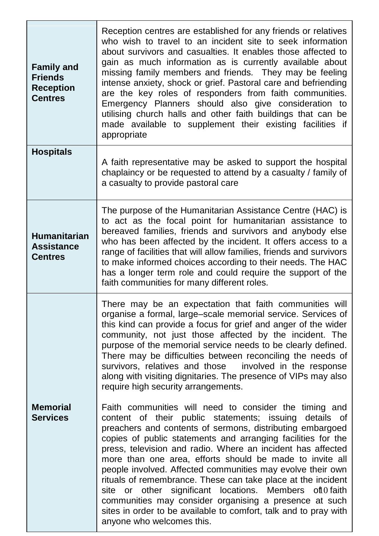| Reception centres are established for any friends or relatives<br>who wish to travel to an incident site to seek information<br>about survivors and casualties. It enables those affected to<br>gain as much information as is currently available about<br>missing family members and friends. They may be feeling<br>intense anxiety, shock or grief. Pastoral care and befriending<br>are the key roles of responders from faith communities.<br>Emergency Planners should also give consideration to<br>utilising church halls and other faith buildings that can be<br>made available to supplement their existing facilities if<br>appropriate                                                                                                                                                                                                                                                                                                                                                                                                                                                                                                                                                       |
|------------------------------------------------------------------------------------------------------------------------------------------------------------------------------------------------------------------------------------------------------------------------------------------------------------------------------------------------------------------------------------------------------------------------------------------------------------------------------------------------------------------------------------------------------------------------------------------------------------------------------------------------------------------------------------------------------------------------------------------------------------------------------------------------------------------------------------------------------------------------------------------------------------------------------------------------------------------------------------------------------------------------------------------------------------------------------------------------------------------------------------------------------------------------------------------------------------|
| A faith representative may be asked to support the hospital<br>chaplaincy or be requested to attend by a casualty / family of<br>a casualty to provide pastoral care                                                                                                                                                                                                                                                                                                                                                                                                                                                                                                                                                                                                                                                                                                                                                                                                                                                                                                                                                                                                                                       |
| The purpose of the Humanitarian Assistance Centre (HAC) is<br>to act as the focal point for humanitarian assistance to<br>bereaved families, friends and survivors and anybody else<br>who has been affected by the incident. It offers access to a<br>range of facilities that will allow families, friends and survivors<br>to make informed choices according to their needs. The HAC<br>has a longer term role and could require the support of the<br>faith communities for many different roles.                                                                                                                                                                                                                                                                                                                                                                                                                                                                                                                                                                                                                                                                                                     |
| There may be an expectation that faith communities will<br>organise a formal, large-scale memorial service. Services of<br>this kind can provide a focus for grief and anger of the wider<br>community, not just those affected by the incident. The<br>purpose of the memorial service needs to be clearly defined.<br>There may be difficulties between reconciling the needs of<br>survivors, relatives and those<br>involved in the response<br>along with visiting dignitaries. The presence of VIPs may also<br>require high security arrangements.<br>Faith communities will need to consider the timing and<br>content of their public statements; issuing<br>details<br>of<br>preachers and contents of sermons, distributing embargoed<br>copies of public statements and arranging facilities for the<br>press, television and radio. Where an incident has affected<br>more than one area, efforts should be made to invite all<br>people involved. Affected communities may evolve their own<br>rituals of remembrance. These can take place at the incident<br>other<br>significant locations.<br>Members of 0 faith<br>site<br>or<br>communities may consider organising a presence at such |
|                                                                                                                                                                                                                                                                                                                                                                                                                                                                                                                                                                                                                                                                                                                                                                                                                                                                                                                                                                                                                                                                                                                                                                                                            |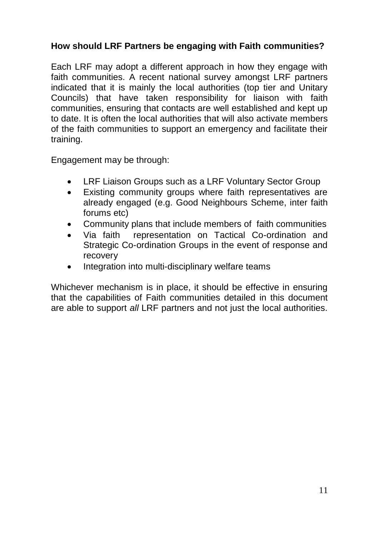# **How should LRF Partners be engaging with Faith communities?**

Each LRF may adopt a different approach in how they engage with faith communities. A recent national survey amongst LRF partners indicated that it is mainly the local authorities (top tier and Unitary Councils) that have taken responsibility for liaison with faith communities, ensuring that contacts are well established and kept up to date. It is often the local authorities that will also activate members of the faith communities to support an emergency and facilitate their training.

Engagement may be through:

- LRF Liaison Groups such as a LRF Voluntary Sector Group
- Existing community groups where faith representatives are already engaged (e.g. Good Neighbours Scheme, inter faith forums etc)
- Community plans that include members of faith communities
- Via faith representation on Tactical Co-ordination and Strategic Co-ordination Groups in the event of response and recovery
- Integration into multi-disciplinary welfare teams

Whichever mechanism is in place, it should be effective in ensuring that the capabilities of Faith communities detailed in this document are able to support *all* LRF partners and not just the local authorities.